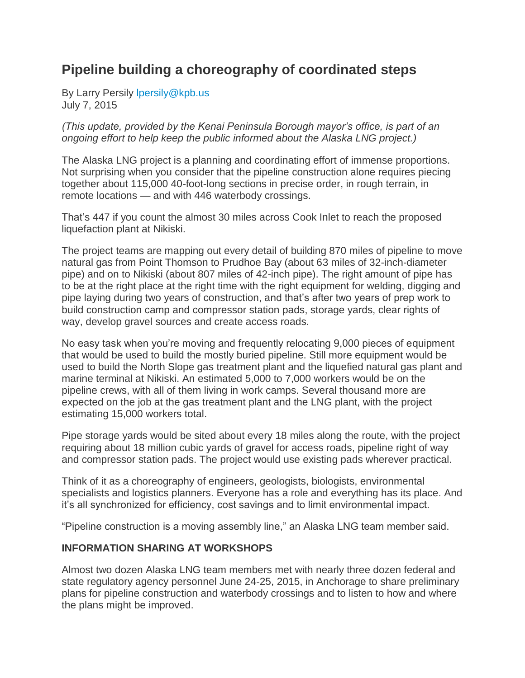## **Pipeline building a choreography of coordinated steps**

By Larry Persily [lpersily@kpb.us](mailto:lpersily@kpb.us) July 7, 2015

*(This update, provided by the Kenai Peninsula Borough mayor's office, is part of an ongoing effort to help keep the public informed about the Alaska LNG project.)*

The Alaska LNG project is a planning and coordinating effort of immense proportions. Not surprising when you consider that the pipeline construction alone requires piecing together about 115,000 40-foot-long sections in precise order, in rough terrain, in remote locations — and with 446 waterbody crossings.

That's 447 if you count the almost 30 miles across Cook Inlet to reach the proposed liquefaction plant at Nikiski.

The project teams are mapping out every detail of building 870 miles of pipeline to move natural gas from Point Thomson to Prudhoe Bay (about 63 miles of 32-inch-diameter pipe) and on to Nikiski (about 807 miles of 42-inch pipe). The right amount of pipe has to be at the right place at the right time with the right equipment for welding, digging and pipe laying during two years of construction, and that's after two years of prep work to build construction camp and compressor station pads, storage yards, clear rights of way, develop gravel sources and create access roads.

No easy task when you're moving and frequently relocating 9,000 pieces of equipment that would be used to build the mostly buried pipeline. Still more equipment would be used to build the North Slope gas treatment plant and the liquefied natural gas plant and marine terminal at Nikiski. An estimated 5,000 to 7,000 workers would be on the pipeline crews, with all of them living in work camps. Several thousand more are expected on the job at the gas treatment plant and the LNG plant, with the project estimating 15,000 workers total.

Pipe storage yards would be sited about every 18 miles along the route, with the project requiring about 18 million cubic yards of gravel for access roads, pipeline right of way and compressor station pads. The project would use existing pads wherever practical.

Think of it as a choreography of engineers, geologists, biologists, environmental specialists and logistics planners. Everyone has a role and everything has its place. And it's all synchronized for efficiency, cost savings and to limit environmental impact.

"Pipeline construction is a moving assembly line," an Alaska LNG team member said.

## **INFORMATION SHARING AT WORKSHOPS**

Almost two dozen Alaska LNG team members met with nearly three dozen federal and state regulatory agency personnel June 24-25, 2015, in Anchorage to share preliminary plans for pipeline construction and waterbody crossings and to listen to how and where the plans might be improved.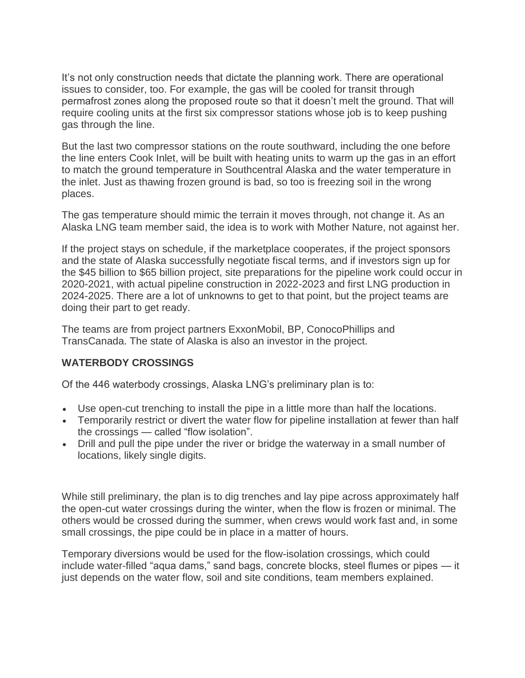It's not only construction needs that dictate the planning work. There are operational issues to consider, too. For example, the gas will be cooled for transit through permafrost zones along the proposed route so that it doesn't melt the ground. That will require cooling units at the first six compressor stations whose job is to keep pushing gas through the line.

But the last two compressor stations on the route southward, including the one before the line enters Cook Inlet, will be built with heating units to warm up the gas in an effort to match the ground temperature in Southcentral Alaska and the water temperature in the inlet. Just as thawing frozen ground is bad, so too is freezing soil in the wrong places.

The gas temperature should mimic the terrain it moves through, not change it. As an Alaska LNG team member said, the idea is to work with Mother Nature, not against her.

If the project stays on schedule, if the marketplace cooperates, if the project sponsors and the state of Alaska successfully negotiate fiscal terms, and if investors sign up for the \$45 billion to \$65 billion project, site preparations for the pipeline work could occur in 2020-2021, with actual pipeline construction in 2022-2023 and first LNG production in 2024-2025. There are a lot of unknowns to get to that point, but the project teams are doing their part to get ready.

The teams are from project partners ExxonMobil, BP, ConocoPhillips and TransCanada. The state of Alaska is also an investor in the project.

## **WATERBODY CROSSINGS**

Of the 446 waterbody crossings, Alaska LNG's preliminary plan is to:

- Use open-cut trenching to install the pipe in a little more than half the locations.
- Temporarily restrict or divert the water flow for pipeline installation at fewer than half the crossings — called "flow isolation".
- Drill and pull the pipe under the river or bridge the waterway in a small number of locations, likely single digits.

While still preliminary, the plan is to dig trenches and lay pipe across approximately half the open-cut water crossings during the winter, when the flow is frozen or minimal. The others would be crossed during the summer, when crews would work fast and, in some small crossings, the pipe could be in place in a matter of hours.

Temporary diversions would be used for the flow-isolation crossings, which could include water-filled "aqua dams," sand bags, concrete blocks, steel flumes or pipes — it just depends on the water flow, soil and site conditions, team members explained.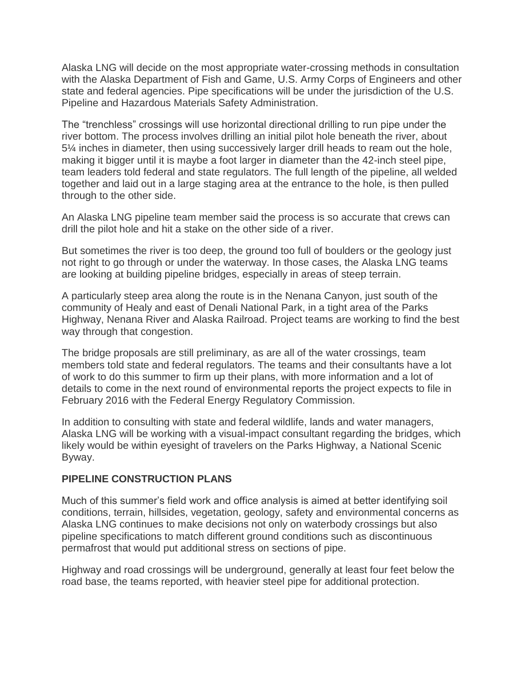Alaska LNG will decide on the most appropriate water-crossing methods in consultation with the Alaska Department of Fish and Game, U.S. Army Corps of Engineers and other state and federal agencies. Pipe specifications will be under the jurisdiction of the U.S. Pipeline and Hazardous Materials Safety Administration.

The "trenchless" crossings will use horizontal directional drilling to run pipe under the river bottom. The process involves drilling an initial pilot hole beneath the river, about 5¼ inches in diameter, then using successively larger drill heads to ream out the hole, making it bigger until it is maybe a foot larger in diameter than the 42-inch steel pipe, team leaders told federal and state regulators. The full length of the pipeline, all welded together and laid out in a large staging area at the entrance to the hole, is then pulled through to the other side.

An Alaska LNG pipeline team member said the process is so accurate that crews can drill the pilot hole and hit a stake on the other side of a river.

But sometimes the river is too deep, the ground too full of boulders or the geology just not right to go through or under the waterway. In those cases, the Alaska LNG teams are looking at building pipeline bridges, especially in areas of steep terrain.

A particularly steep area along the route is in the Nenana Canyon, just south of the community of Healy and east of Denali National Park, in a tight area of the Parks Highway, Nenana River and Alaska Railroad. Project teams are working to find the best way through that congestion.

The bridge proposals are still preliminary, as are all of the water crossings, team members told state and federal regulators. The teams and their consultants have a lot of work to do this summer to firm up their plans, with more information and a lot of details to come in the next round of environmental reports the project expects to file in February 2016 with the Federal Energy Regulatory Commission.

In addition to consulting with state and federal wildlife, lands and water managers, Alaska LNG will be working with a visual-impact consultant regarding the bridges, which likely would be within eyesight of travelers on the Parks Highway, a National Scenic Byway.

## **PIPELINE CONSTRUCTION PLANS**

Much of this summer's field work and office analysis is aimed at better identifying soil conditions, terrain, hillsides, vegetation, geology, safety and environmental concerns as Alaska LNG continues to make decisions not only on waterbody crossings but also pipeline specifications to match different ground conditions such as discontinuous permafrost that would put additional stress on sections of pipe.

Highway and road crossings will be underground, generally at least four feet below the road base, the teams reported, with heavier steel pipe for additional protection.